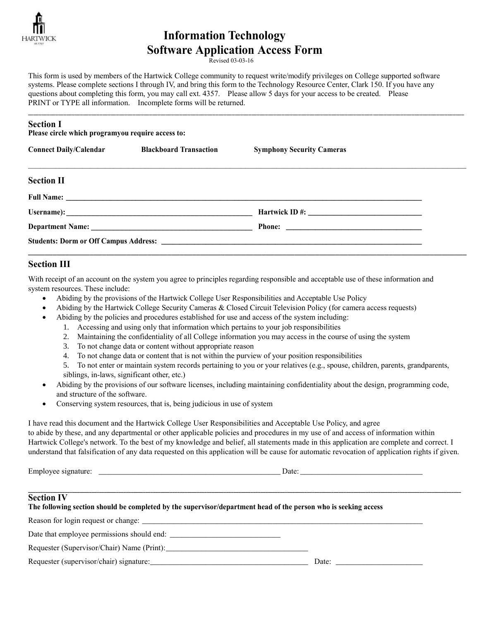

# **Information Technology Software Application Access Form**

Revised 03-03-16

This form is used by members of the Hartwick College community to request write/modify privileges on College supported software systems. Please complete sections I through IV, and bring this form to the Technology Resource Center, Clark 150. If you have any questions about completing this form, you may call ext. 4357. Please allow 5 days for your access to be created. Please PRINT or TYPE all information. Incomplete forms will be returned.

| <b>Section I</b><br>Please circle which programyou require access to: |                                                      |                                  |  |  |
|-----------------------------------------------------------------------|------------------------------------------------------|----------------------------------|--|--|
|                                                                       | <b>Connect Daily/Calendar Blackboard Transaction</b> | <b>Symphony Security Cameras</b> |  |  |
| <b>Section II</b>                                                     |                                                      |                                  |  |  |
|                                                                       |                                                      |                                  |  |  |
|                                                                       |                                                      |                                  |  |  |
|                                                                       |                                                      |                                  |  |  |
|                                                                       |                                                      |                                  |  |  |

\_\_\_\_\_\_\_\_\_\_\_\_\_\_\_\_\_\_\_\_\_\_\_\_\_\_\_\_\_\_\_\_\_\_\_\_\_\_\_\_\_\_\_\_\_\_\_\_\_\_\_\_\_\_\_\_\_\_\_\_\_\_\_\_\_\_\_\_\_\_\_\_\_\_\_\_\_\_\_\_\_\_\_\_\_\_\_\_\_\_\_\_\_\_\_\_\_\_\_\_\_\_\_\_\_\_\_\_\_\_\_\_\_\_\_\_\_\_\_\_\_\_\_\_\_\_\_\_\_\_\_\_\_\_\_\_\_\_\_\_\_\_\_\_\_\_\_\_\_\_\_\_\_\_\_\_\_\_

## **Section III**

With receipt of an account on the system you agree to principles regarding responsible and acceptable use of these information and system resources. These include:

- Abiding by the provisions of the Hartwick College User Responsibilities and Acceptable Use Policy
- Abiding by the Hartwick College Security Cameras & Closed Circuit Television Policy (for camera access requests)
- Abiding by the policies and procedures established for use and access of the system including:
	- 1. Accessing and using only that information which pertains to your job responsibilities
	- 2. Maintaining the confidentiality of all College information you may access in the course of using the system
	- 3. To not change data or content without appropriate reason
	- 4. To not change data or content that is not within the purview of your position responsibilities

5. To not enter or maintain system records pertaining to you or your relatives (e.g., spouse, children, parents, grandparents, siblings, in-laws, significant other, etc.)

- Abiding by the provisions of our software licenses, including maintaining confidentiality about the design, programming code, and structure of the software.
- Conserving system resources, that is, being judicious in use of system

I have read this document and the Hartwick College User Responsibilities and Acceptable Use Policy, and agree to abide by these, and any departmental or other applicable policies and procedures in my use of and access of information within Hartwick College's network. To the best of my knowledge and belief, all statements made in this application are complete and correct. I understand that falsification of any data requested on this application will be cause for automatic revocation of application rights if given.

Employee signature: \_\_\_\_\_\_\_\_\_\_\_\_\_\_\_\_\_\_\_\_\_\_\_\_\_\_\_\_\_\_\_\_\_\_\_\_\_\_\_\_\_\_\_\_\_\_ Date: \_\_\_\_\_\_\_\_\_\_\_\_\_\_\_\_\_\_\_\_\_\_\_\_\_\_\_\_\_\_\_

#### **\_\_\_\_\_\_\_\_\_\_\_\_\_\_\_\_\_\_\_\_\_\_\_\_\_\_\_\_\_\_\_\_\_\_\_\_\_\_\_\_\_\_\_\_\_\_\_\_\_\_\_\_\_\_\_\_\_\_\_\_\_\_\_\_\_\_\_\_\_\_\_\_\_\_\_\_\_\_\_\_\_\_\_\_\_\_\_\_\_\_\_\_\_\_\_\_\_\_\_\_\_\_\_\_\_\_\_\_\_\_\_\_\_\_\_\_\_\_\_\_\_\_\_\_\_\_\_\_\_\_\_\_\_\_\_\_\_\_\_\_\_\_\_\_\_\_\_\_\_\_\_\_\_\_\_\_\_\_\_\_\_\_\_\_\_\_\_\_\_\_\_\_\_\_\_\_\_ Section IV**

### **The following section should be completed by the supervisor/department head of the person who is seeking access**

Reason for login request or change: \_\_\_\_\_\_\_\_\_\_\_\_\_\_\_\_\_\_\_\_\_\_\_\_\_\_\_\_\_\_\_\_\_\_\_\_\_\_\_\_\_\_\_\_\_\_\_\_\_\_\_\_\_\_\_\_\_\_\_\_\_\_\_\_\_\_\_\_\_\_\_

Date that employee permissions should end: \_\_\_\_\_\_\_\_\_\_\_\_\_\_\_\_\_\_\_\_\_\_\_\_\_\_\_\_

Requester (Supervisor/Chair) Name (Print):\_\_\_\_\_\_\_\_\_\_\_\_\_\_\_\_\_\_\_\_\_\_\_\_\_\_\_\_\_\_\_\_\_\_\_\_

Requester (supervisor/chair) signature:\_\_\_\_\_\_\_\_\_\_\_\_\_\_\_\_\_\_\_\_\_\_\_\_\_\_\_\_\_\_\_\_\_\_\_\_\_\_\_\_ Date: \_\_\_\_\_\_\_\_\_\_\_\_\_\_\_\_\_\_\_\_\_\_